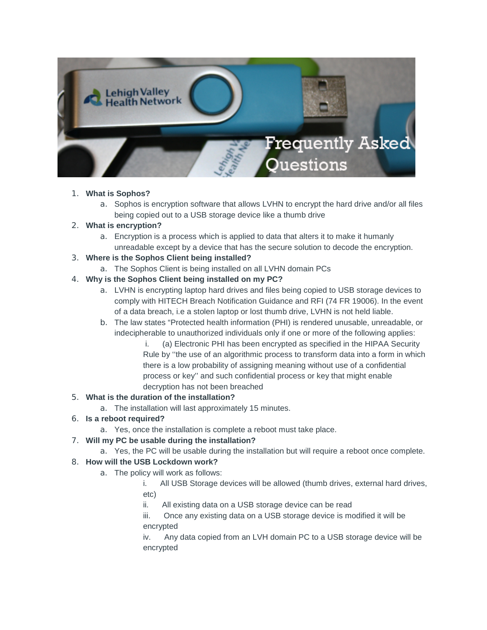

#### 1. **What is Sophos?**

a. Sophos is encryption software that allows LVHN to encrypt the hard drive and/or all files being copied out to a USB storage device like a thumb drive

### 2. **What is encryption?**

a. Encryption is a process which is applied to data that alters it to make it humanly unreadable except by a device that has the secure solution to decode the encryption.

### 3. **Where is the Sophos Client being installed?**

a. The Sophos Client is being installed on all LVHN domain PCs

## 4. **Why is the Sophos Client being installed on my PC?**

- a. LVHN is encrypting laptop hard drives and files being copied to USB storage devices to comply with HITECH Breach Notification Guidance and RFI (74 FR 19006). In the event of a data breach, i.e a stolen laptop or lost thumb drive, LVHN is not held liable.
- b. The law states "Protected health information (PHI) is rendered unusable, unreadable, or indecipherable to unauthorized individuals only if one or more of the following applies:
	- i. (a) Electronic PHI has been encrypted as specified in the HIPAA Security Rule by ''the use of an algorithmic process to transform data into a form in which there is a low probability of assigning meaning without use of a confidential process or key'' and such confidential process or key that might enable decryption has not been breached

### 5. **What is the duration of the installation?**

a. The installation will last approximately 15 minutes.

### 6. **Is a reboot required?**

a. Yes, once the installation is complete a reboot must take place.

# 7. **Will my PC be usable during the installation?**

a. Yes, the PC will be usable during the installation but will require a reboot once complete.

# 8. **How will the USB Lockdown work?**

- a. The policy will work as follows:
	- i. All USB Storage devices will be allowed (thumb drives, external hard drives, etc)
	- ii. All existing data on a USB storage device can be read
	- iii. Once any existing data on a USB storage device is modified it will be encrypted

iv. Any data copied from an LVH domain PC to a USB storage device will be encrypted